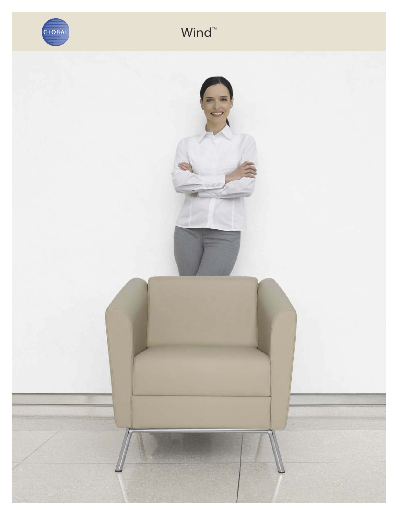

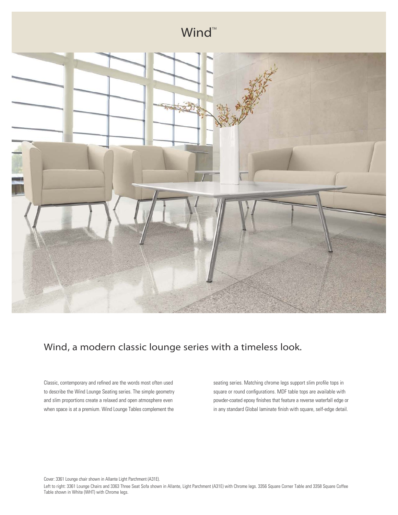

### Wind, a modern classic lounge series with a timeless look.

Classic, contemporary and refined are the words most often used to describe the Wind Lounge Seating series. The simple geometry and slim proportions create a relaxed and open atmosphere even when space is at a premium. Wind Lounge Tables complement the

seating series. Matching chrome legs support slim profile tops in square or round configurations. MDF table tops are available with powder-coated epoxy finishes that feature a reverse waterfall edge or in any standard Global laminate finish with square, self-edge detail.

Cover: 3361 Lounge chair shown in Allante Light Parchment (A31E).

Left to right: 3361 Lounge Chairs and 3363 Three Seat Sofa shown in Allante, Light Parchment (A31E) with Chrome legs. 3356 Square Corner Table and 3358 Square Coffee Table shown in White (WHT) with Chrome legs.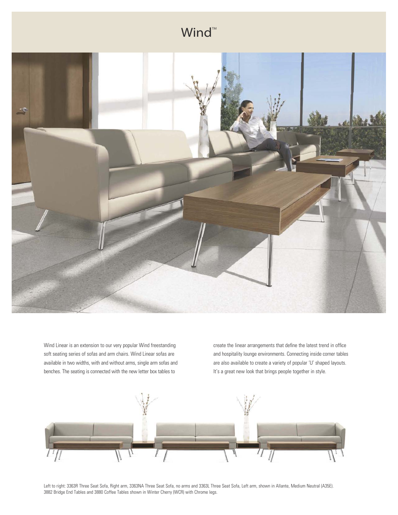

Wind Linear is an extension to our very popular Wind freestanding soft seating series of sofas and arm chairs. Wind Linear sofas are available in two widths, with and without arms, single arm sofas and benches. The seating is connected with the new letter box tables to

create the linear arrangements that define the latest trend in office and hospitality lounge environments. Connecting inside corner tables are also available to create a variety of popular 'U' shaped layouts. It's a great new look that brings people together in style.



Left to right: 3363R Three Seat Sofa, Right arm, 3363NA Three Seat Sofa, no arms and 3363L Three Seat Sofa, Left arm, shown in Allante, Medium Neutral (A35E). 3882 Bridge End Tables and 3880 Coffee Tables shown in Winter Cherry (WCR) with Chrome legs.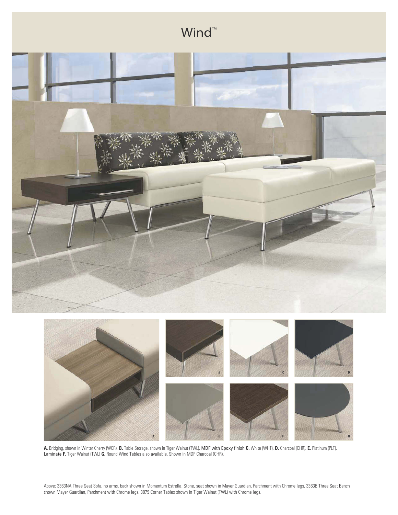

**A.** Bridging, shown in Winter Cherry (WCR). **B.** Table Storage, shown in Tiger Walnut (TWL). MDF with Epoxy finish **C.** White (WHT). **D.** Charcoal (CHR). **E.** Platinum (PLT). Laminate **F.** Tiger Walnut (TWL) **G.** Round Wind Tables also available. Shown in MDF Charcoal (CHR).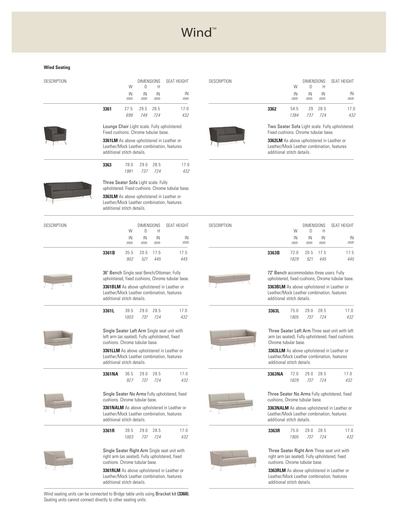#### **Wind Seating**

| DESCRIPTION |      |                                                                                                                       | <b>DIMENSIONS</b> |      | <b>SFAT HFIGHT</b>                                                                             |  |  |
|-------------|------|-----------------------------------------------------------------------------------------------------------------------|-------------------|------|------------------------------------------------------------------------------------------------|--|--|
|             |      | W                                                                                                                     | D                 | Н    |                                                                                                |  |  |
|             |      | IN                                                                                                                    | IN                | IN   | IN                                                                                             |  |  |
|             |      | mm                                                                                                                    | mm                | mm   | mm                                                                                             |  |  |
|             | 3361 | 27.5                                                                                                                  | 29.5              | 28.5 | 17.0                                                                                           |  |  |
|             |      | 699                                                                                                                   | 749               | 724  | 432                                                                                            |  |  |
|             |      | Lounge Chair Light scale. Fully upholstered.<br>Fixed cushions. Chrome tubular base.                                  |                   |      |                                                                                                |  |  |
|             |      | 3361LM As above upholstered in Leather or<br>Leather/Mock Leather combination, features<br>additional stitch details. |                   |      |                                                                                                |  |  |
|             | 3363 | 78 N                                                                                                                  | 290               | 28.5 | 17 <sub>0</sub>                                                                                |  |  |
|             |      | 1.981                                                                                                                 | 737               | 724  | 432                                                                                            |  |  |
|             |      | Three Seater Sofa Light scale. Fully<br>upholstered. Fixed cushions. Chrome tubular base.                             |                   |      |                                                                                                |  |  |
|             |      | additional stitch details.                                                                                            |                   |      | <b>3363LM</b> As above upholstered in Leather or<br>Leather/Mock Leather combination, features |  |  |
|             |      |                                                                                                                       |                   |      |                                                                                                |  |  |

| <b>DESCRIPTION</b> |                                                                                  | W            | <b>DIMENSIONS</b><br>D | Н           | SEAT HEIGHT                                                                                      |
|--------------------|----------------------------------------------------------------------------------|--------------|------------------------|-------------|--------------------------------------------------------------------------------------------------|
|                    |                                                                                  | IN<br>mm     | IN<br>mm               | IN<br>mm    | IN<br>mm                                                                                         |
|                    | 3361B                                                                            | 35.5<br>902  | 20.5<br>521            | 17.5<br>445 | 17.5<br>445                                                                                      |
|                    | 36" Bench Single seat Bench/Ottoman. Fully                                       |              |                        |             | upholstered, fixed cushions, Chrome tubular base.                                                |
|                    | additional stitch details.                                                       |              |                        |             | <b>3361BLM</b> As above upholstered in Leather or<br>Leather/Mock Leather combination, features  |
|                    | 3361L                                                                            | 39.5<br>1003 | 29.0<br>737            | 28.5<br>724 | 17.0<br>432                                                                                      |
|                    | left arm (as seated). Fully upholstered, fixed<br>cushions. Chrome tubular base. |              |                        |             | Single Seater Left Arm Single seat unit with                                                     |
|                    | additional stitch details.                                                       |              |                        |             | 3361LLM As above upholstered in Leather or<br>Leather/Mock Leather combination, features         |
|                    | 3361NA                                                                           | 36.5<br>927  | 29.0<br>737            | 28.5<br>724 | 17.0<br>432                                                                                      |
|                    | cushions. Chrome tubular base.                                                   |              |                        |             | Single Seater No Arms Fully upholstered, fixed                                                   |
|                    | additional stitch details.                                                       |              |                        |             | 3361 NALM As above upholstered in Leather or<br>Leather/Mock Leather combination, features       |
|                    | 3361R                                                                            | 39.5<br>1003 | 29.0<br>737            | 28.5<br>724 | 17.0<br>432                                                                                      |
|                    | cushions. Chrome tubular base.                                                   |              |                        |             | Single Seater Right Arm Single seat unit with<br>right arm (as seated). Fully upholstered, fixed |
|                    |                                                                                  |              |                        |             |                                                                                                  |

**3361RLM** As above upholstered in Leather or Leather/Mock Leather combination, features additional stitch details.

Wind seating units can be connected to Bridge table units using Bracket kit **(3360)**. Seating units cannot connect directly to other seating units.

| <b>DESCRIPTION</b> |      |          | D        | Н        | DIMENSIONS SEAT HEIGHT |
|--------------------|------|----------|----------|----------|------------------------|
|                    |      | IN<br>mm | IN<br>mm | IN<br>mm | IN<br>mm               |
|                    | 3362 | 54.5     |          | 29 28.5  | 17.0                   |
|                    |      | 1384     | 737      | -724     | 432                    |



Two Seater Sofa Light scale. Fully upholstered. Fixed cushions. Chrome tubular base.

**3362LM** As above upholstered in Leather or Leather/Mock Leather combination, features additional stitch details.

| <b>DESCRIPTION</b> | <b>DIMENSIONS</b><br>W<br><sup>n</sup><br>н |              | <b>SFAT HFIGHT</b> |             |                                                                                                        |
|--------------------|---------------------------------------------|--------------|--------------------|-------------|--------------------------------------------------------------------------------------------------------|
|                    |                                             | IN<br>mm     | IN<br>mm           | IN<br>mm    | IN<br>mm                                                                                               |
|                    | 3363B                                       | 72.0<br>1829 | 20.5<br>521        | 17.5<br>445 | 17.5<br>445                                                                                            |
|                    | 72" Bench accommodates three users. Fully   |              |                    |             | upholstered, fixed cushions, Chrome tubular base.                                                      |
|                    | additional stitch details.                  |              |                    |             | <b>3363BLM</b> As above upholstered in Leather or<br>Leather/Mock Leather combination, features        |
|                    | 3363L                                       | 75.0<br>1905 | 79.0<br>737        | 28.5<br>724 | 17.0<br>432                                                                                            |
|                    | Chrome tubular base.                        |              |                    |             | Three Seater Left Arm Three seat unit with left<br>arm (as seated). Fully upholstered, fixed cushions. |
|                    | additional stitch details.                  |              |                    |             | 3363LLM As above upholstered in Leather or<br>Leather/Mock Leather combination, features               |
|                    | 3363NA                                      | 72.0<br>1829 | 79.0<br>737        | 28.5<br>724 | 17.0<br>432                                                                                            |
|                    | cushions, Chrome tubular base.              |              |                    |             | Three Seater No Arms Fully upholstered, fixed                                                          |
|                    | additional stitch details.                  |              |                    |             | 3363NALM As above upholstered in Leather or<br>Leather/Mock Leather combination, features              |
|                    | 3363R                                       | 75.0<br>1905 | 29.0<br>737        | 28.5<br>724 | 17.0<br>432                                                                                            |
|                    | cushions. Chrome tubular base.              |              |                    |             | Three Seater Right Arm Three seat unit with<br>right arm (as seated). Fully upholstered, fixed         |
|                    |                                             |              |                    |             | <b>3363RLM</b> As above upholstered in Leather or                                                      |

Leather/Mock Leather combination, features additional stitch details.







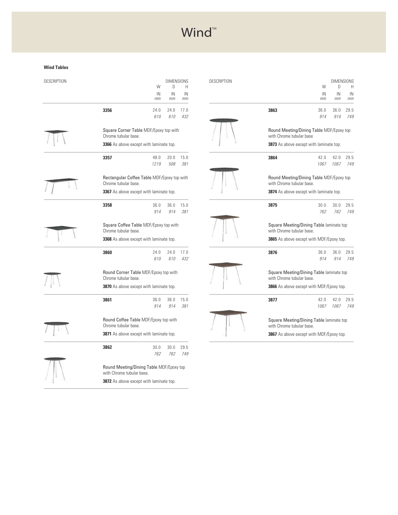#### **Wind Tables**

| <b>DESCRIPTION</b> |                                                                       | W<br>IN      | D<br>IN     | <b>DIMENSIONS</b><br>Н<br>IN |
|--------------------|-----------------------------------------------------------------------|--------------|-------------|------------------------------|
|                    |                                                                       | mm           | mm          | mm                           |
|                    | 3356                                                                  | 24.0<br>610  | 24.0<br>610 | 17.0<br>432                  |
|                    | Square Corner Table MDF/Epoxy top with<br>Chrome tubular base.        |              |             |                              |
|                    | 3366 As above except with laminate top.                               |              |             |                              |
|                    | 3357                                                                  | 48.0<br>1219 | 20.0<br>508 | 15.0<br>381                  |
|                    | Rectangular Coffee Table MDF/Epoxy top with<br>Chrome tubular base.   |              |             |                              |
|                    | 3367 As above except with laminate top.                               |              |             |                              |
|                    | 3358                                                                  | 36.0<br>914  | 36.0<br>914 | 15.0<br>381                  |
|                    | Square Coffee Table MDF/Epoxy top with<br>Chrome tubular base.        |              |             |                              |
|                    | <b>3368</b> As above except with laminate top.                        |              |             |                              |
|                    | 3860                                                                  | 74.0<br>610  | 74.0<br>610 | 17.0<br>432                  |
|                    | Round Corner Table MDF/Epoxy top with<br>Chrome tubular base.         |              |             |                              |
|                    | 3870 As above except with laminate top.                               |              |             |                              |
|                    | 3861                                                                  | 36.0<br>914  | 36.0<br>914 | 15.0<br>381                  |
|                    | Round Coffee Table MDF/Epoxy top with<br>Chrome tubular base.         |              |             |                              |
|                    | 3871 As above except with laminate top.                               |              |             |                              |
|                    | 3862                                                                  | 30.0<br>762  | 30.0<br>762 | 29.5<br>749                  |
|                    | Round Meeting/Dining Table MDF/Epoxy top<br>with Chrome tubular base. |              |             |                              |
|                    | 3872 As above except with laminate top.                               |              |             |                              |

| <b>DESCRIPTION</b> |                                                                       | <b>DIMENSIONS</b><br>W<br>D. |              | H.           |
|--------------------|-----------------------------------------------------------------------|------------------------------|--------------|--------------|
|                    |                                                                       | IN<br>mm                     | IN<br>mm     | IN<br>mm     |
|                    | 3863                                                                  | 36.0<br>914                  | 36.0<br>914  | 29.5<br>749  |
|                    | Round Meeting/Dining Table MDF/Epoxy top<br>with Chrome tubular base  |                              |              |              |
|                    | <b>3873</b> As above except with laminate top.                        |                              |              |              |
|                    | 3864                                                                  | 42.0<br>1067                 | 42.0<br>1067 | 29.5<br>749  |
|                    | Round Meeting/Dining Table MDF/Epoxy top<br>with Chrome tubular base. |                              |              |              |
|                    | 3874 As above except with laminate top.                               |                              |              |              |
|                    | 3875                                                                  | 30.0<br>762                  | 30.0<br>762  | 29.5<br>749  |
|                    | Square Meeting/Dining Table laminate top<br>with Chrome tubular base. |                              |              |              |
|                    | 3865 As above except with MDF/Epoxy top.                              |                              |              |              |
|                    | 3876                                                                  | 36.0<br>914                  | 36.0<br>914  | 29.5<br>74.9 |
|                    | Square Meeting/Dining Table laminate top<br>with Chrome tubular base. |                              |              |              |
|                    | 3866 As above except with MDF/Epoxy top.                              |                              |              |              |
|                    | 3877                                                                  | 42.0<br>1067                 | 42.0<br>1067 | 29.5<br>749  |
|                    | Square Meeting/Dining Table laminate top<br>with Chrome tubular base. |                              |              |              |
|                    | 3867 As above except with MDF/Epoxy top.                              |                              |              |              |